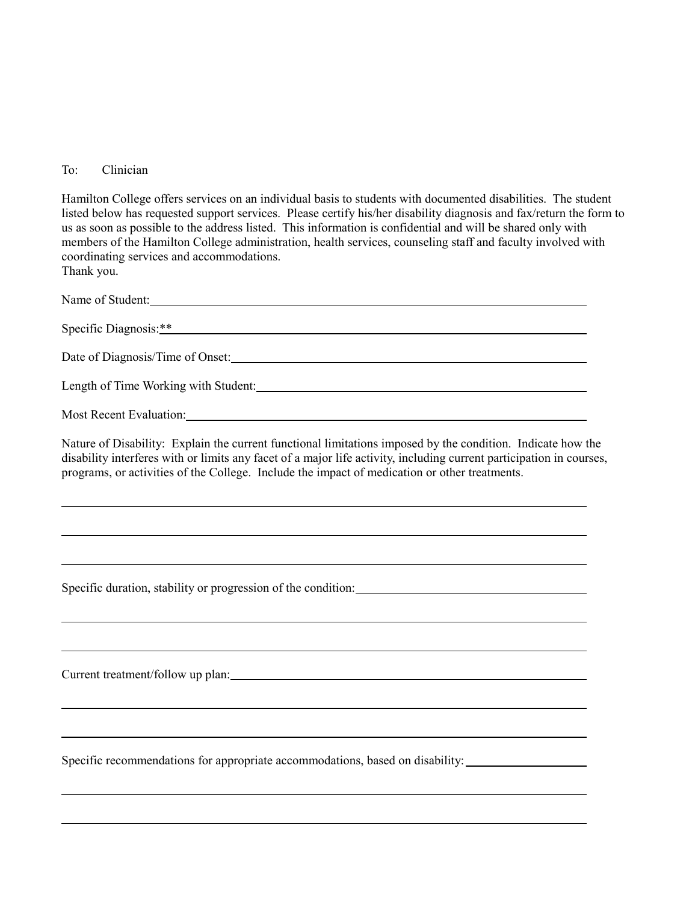## To: Clinician

Hamilton College offers services on an individual basis to students with documented disabilities. The student listed below has requested support services. Please certify his/her disability diagnosis and fax/return the form to us as soon as possible to the address listed. This information is confidential and will be shared only with members of the Hamilton College administration, health services, counseling staff and faculty involved with coordinating services and accommodations. Thank you.

| Name of Student:                                                                                                                                                                                                                                                                                                                     |
|--------------------------------------------------------------------------------------------------------------------------------------------------------------------------------------------------------------------------------------------------------------------------------------------------------------------------------------|
|                                                                                                                                                                                                                                                                                                                                      |
|                                                                                                                                                                                                                                                                                                                                      |
|                                                                                                                                                                                                                                                                                                                                      |
|                                                                                                                                                                                                                                                                                                                                      |
| Nature of Disability: Explain the current functional limitations imposed by the condition. Indicate how the<br>disability interferes with or limits any facet of a major life activity, including current participation in courses,<br>programs, or activities of the College. Include the impact of medication or other treatments. |
|                                                                                                                                                                                                                                                                                                                                      |
|                                                                                                                                                                                                                                                                                                                                      |
|                                                                                                                                                                                                                                                                                                                                      |
| Specific recommendations for appropriate accommodations, based on disability:                                                                                                                                                                                                                                                        |
|                                                                                                                                                                                                                                                                                                                                      |